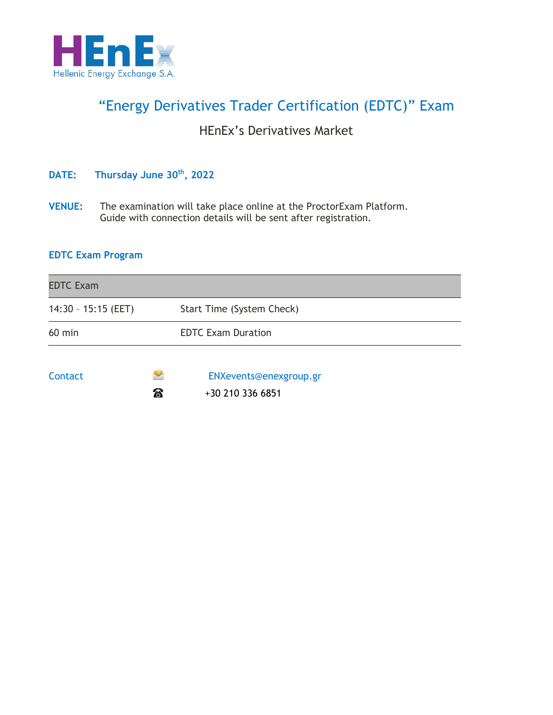

# "Energy Derivatives Trader Certification (EDTC)" Exam

### HEnEx's Derivatives Market

### **DATE: Thursday June 30th, 2022**

**VENUE:** The examination will take place online at the ProctorExam Platform. Guide with connection details will be sent after registration.

### **EDTC Exam Program**

| <b>EDTC Exam</b>    |    |                           |
|---------------------|----|---------------------------|
| 14:30 - 15:15 (EET) |    | Start Time (System Check) |
| $60$ min            |    | <b>EDTC Exam Duration</b> |
| <b>Contact</b>      |    | ENXevents@enexgroup.gr    |
|                     | සි | +30 210 336 6851          |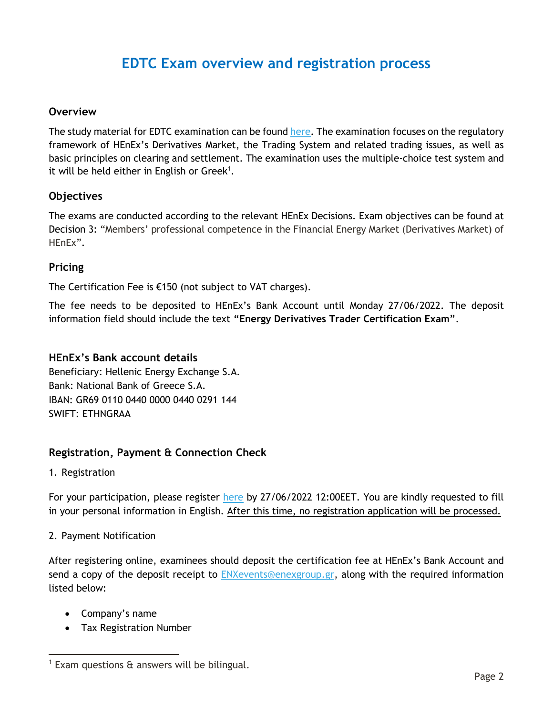## **EDTC Exam overview and registration process**

#### **Οverview**

The study material for EDTC examination can be foun[d here.](https://www.enexgroup.gr/web/guest/training) The examination focuses on the regulatory framework of HEnEx's Derivatives Market, the Trading System and related trading issues, as well as basic principles on clearing and settlement. The examination uses the multiple-choice test system and it will be held either in English or Greek<sup>1</sup>.

#### **Οbjectives**

The exams are conducted according to the relevant HEnEx Decisions. Exam objectives can be found at Decision 3: "Members' professional competence in the Financial Energy Market (Derivatives Market) of HEnEx".

#### **Pricing**

The Certification Fee is €150 (not subject to VAT charges).

The fee needs to be deposited to HEnEx's Bank Account until Monday 27/06/2022. The deposit information field should include the text **"Energy Derivatives Trader Certification Exam"**.

#### **HEnEx's Bank account details**

Beneficiary: Hellenic Energy Exchange S.A. Bank: National Bank of Greece S.A. IBAN: GR69 0110 0440 0000 0440 0291 144 SWIFT: ETHNGRAA

#### **Registration, Payment & Connection Check**

1. Registration

 $\overline{a}$ 

For your participation, please register [here](https://www.enexgroup.gr/web/guest/edtc-exams-registration-form) by 27/06/2022 12:00EET. You are kindly requested to fill in your personal information in English. After this time, no registration application will be processed.

#### 2. Payment Notification

After registering online, examinees should deposit the certification fee at HEnEx's Bank Account and send a copy of the deposit receipt to [ENXevents@enexgroup.gr,](mailto:ENXevents@enexgroup.gr) along with the required information listed below:

- Company's name
- Tax Registration Number

<sup>1</sup> Exam questions & answers will be bilingual.